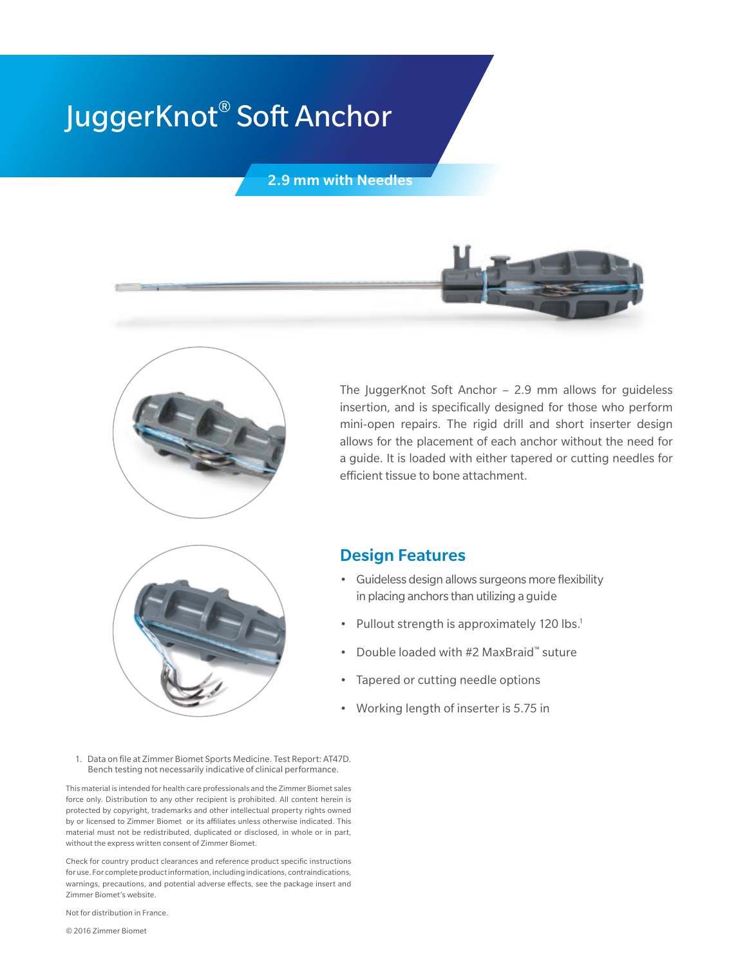# JuggerKnot® Soft Anchor

2.9 mm with Needles



The JuggerKnot Soft Anchor – 2.9 mm allows for guideless insertion, and is specifically designed for those who perform mini-open repairs. The rigid drill and short inserter design allows for the placement of each anchor without the need for a guide. It is loaded with either tapered or cutting needles for efficient tissue to bone attachment.



### Design Features

- Guideless design allows surgeons more flexibility in placing anchors than utilizing a guide
- Pullout strength is approximately 120 lbs.<sup>1</sup>
- Double loaded with #2 MaxBraid™ suture
- Tapered or cutting needle options
- Working length of inserter is 5.75 in
- 1. Data on file at Zimmer Biomet Sports Medicine. Test Report: AT47D. Bench testing not necessarily indicative of clinical performance.

This material is intended for health care professionals and the Zimmer Biomet sales force only. Distribution to any other recipient is prohibited. All content herein is protected by copyright, trademarks and other intellectual property rights owned by or licensed to Zimmer Biomet or its affiliates unless otherwise indicated. This material must not be redistributed, duplicated or disclosed, in whole or in part, without the express written consent of Zimmer Biomet.

Check for country product clearances and reference product specific instructions for use. For complete product information, including indications, contraindications, warnings, precautions, and potential adverse effects, see the package insert and Zimmer Biomet's website.

Not for distribution in France.

© 2016 Zimmer Biomet